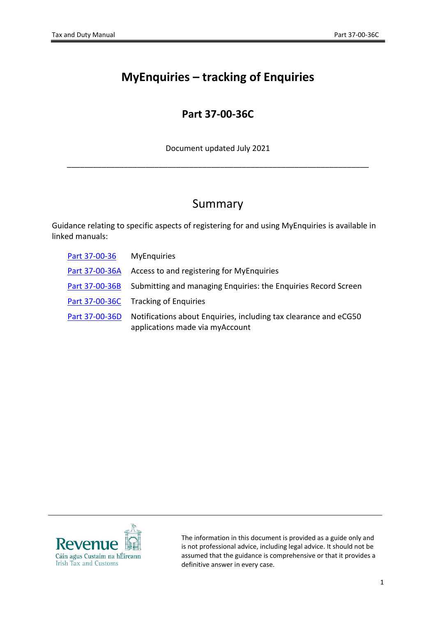# **MyEnquiries – tracking of Enquiries**

## **Part 37-00-36C**

Document updated July 2021

\_\_\_\_\_\_\_\_\_\_\_\_\_\_\_\_\_\_\_\_\_\_\_\_\_\_\_\_\_\_\_\_\_\_\_\_\_\_\_\_\_\_\_\_\_\_\_\_\_\_\_\_\_\_\_\_\_\_\_\_\_\_\_\_\_\_\_\_\_

## Summary

Guidance relating to specific aspects of registering for and using MyEnquiries is available in linked manuals:

| Part 37-00-36  | <b>MyEnquiries</b>                                                                                  |
|----------------|-----------------------------------------------------------------------------------------------------|
| Part 37-00-36A | Access to and registering for MyEnquiries                                                           |
| Part 37-00-36B | Submitting and managing Enquiries: the Enquiries Record Screen                                      |
|                | Part 37-00-36C Tracking of Enquiries                                                                |
| Part 37-00-36D | Notifications about Enquiries, including tax clearance and eCG50<br>applications made via myAccount |



The information in this document is provided as a guide only and is not professional advice, including legal advice. It should not be assumed that the guidance is comprehensive or that it provides a definitive answer in every case.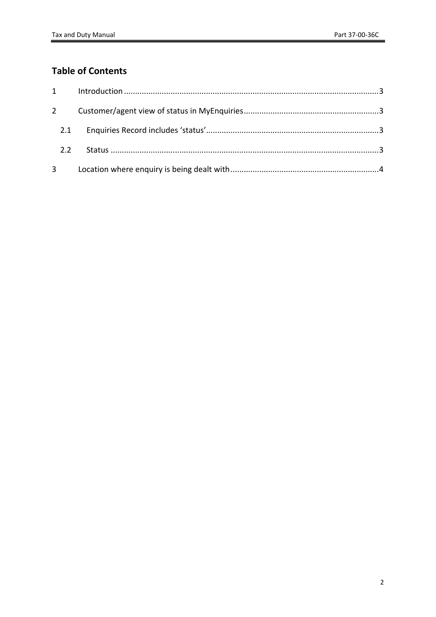### **Table of Contents**

| 2.2 |  |
|-----|--|
|     |  |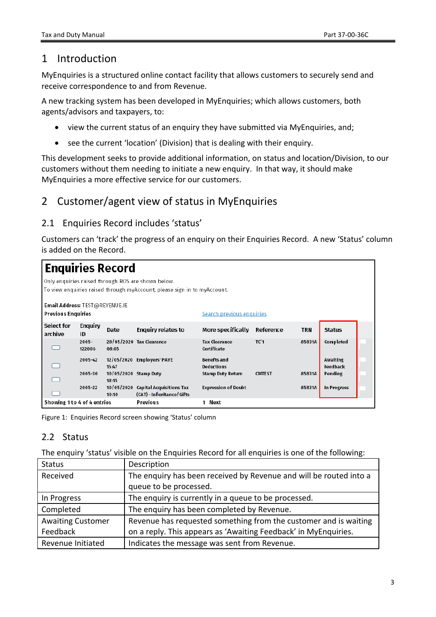#### <span id="page-2-0"></span>1 Introduction

MyEnquiries is a structured online contact facility that allows customers to securely send and receive correspondence to and from Revenue.

A new tracking system has been developed in MyEnquiries; which allows customers, both agents/advisors and taxpayers, to:

- view the current status of an enquiry they have submitted via MyEnquiries, and;
- see the current 'location' (Division) that is dealing with their enquiry.

This development seeks to provide additional information, on status and location/Division, to our customers without them needing to initiate a new enquiry. In that way, it should make MyEnquiries a more effective service for our customers.

### <span id="page-2-1"></span>2 Customer/agent view of status in MyEnquiries

#### <span id="page-2-2"></span>2.1 Enquiries Record includes 'status'

Customers can 'track' the progress of an enquiry on their Enquiries Record. A new 'Status' column is added on the Record.

| <b>Enquiries Record</b>                                     |                    |                                |                                                                                                                                |                                     |                 |        |                      |  |
|-------------------------------------------------------------|--------------------|--------------------------------|--------------------------------------------------------------------------------------------------------------------------------|-------------------------------------|-----------------|--------|----------------------|--|
|                                                             |                    |                                | Only enquiries raised through ROS are shown below.<br>To view enquiries raised through myAccount, please sign in to myAccount. |                                     |                 |        |                      |  |
| Email Address: TEST@REVENUE.IE<br><b>Previous Enquiries</b> |                    |                                |                                                                                                                                | Search previous enquiries           |                 |        |                      |  |
| Select for<br>archive                                       | Enquiry<br>ID      | Date                           | Enquiry relates to                                                                                                             | More specifically                   | Reference       | TRN    | <b>Status</b>        |  |
|                                                             | $2005 -$<br>122006 | 08:05                          | 28/05/2020 Tax Clearance                                                                                                       | <b>Tax Clearance</b><br>Certificate | TC <sup>1</sup> | 85831A | Completed            |  |
|                                                             | 2005-42            | 15:47                          | 12/05/2020 Employers' PAYE                                                                                                     | Benefts and<br>Deductions           |                 |        | Awaiting<br>Feedback |  |
|                                                             | 2005-30            | 10/05/2020 Stamp Duty<br>18:15 |                                                                                                                                | Stamp Duty Return                   | <b>CMTEST</b>   | 85831A | Pending              |  |
|                                                             | 2005-22            | 10/05/2020<br>10:10            | Capital Acquisitions Tax<br>(CAT) - Inheritance/ Gifts                                                                         | <b>Expression of Doubt</b>          |                 | 85831A | In Progress          |  |
| Showing 1 to 4 of 4 entries                                 |                    |                                | Previous                                                                                                                       | Next<br>1                           |                 |        |                      |  |

Figure 1: Enquiries Record screen showing 'Status' column

#### <span id="page-2-3"></span>2.2 Status

The enquiry 'status' visible on the Enquiries Record for all enquiries is one of the following:

| <b>Status</b>            | Description                                                        |
|--------------------------|--------------------------------------------------------------------|
| Received                 | The enquiry has been received by Revenue and will be routed into a |
|                          | queue to be processed.                                             |
| In Progress              | The enquiry is currently in a queue to be processed.               |
| Completed                | The enquiry has been completed by Revenue.                         |
| <b>Awaiting Customer</b> | Revenue has requested something from the customer and is waiting   |
| Feedback                 | on a reply. This appears as 'Awaiting Feedback' in MyEnquiries.    |
| Revenue Initiated        | Indicates the message was sent from Revenue.                       |